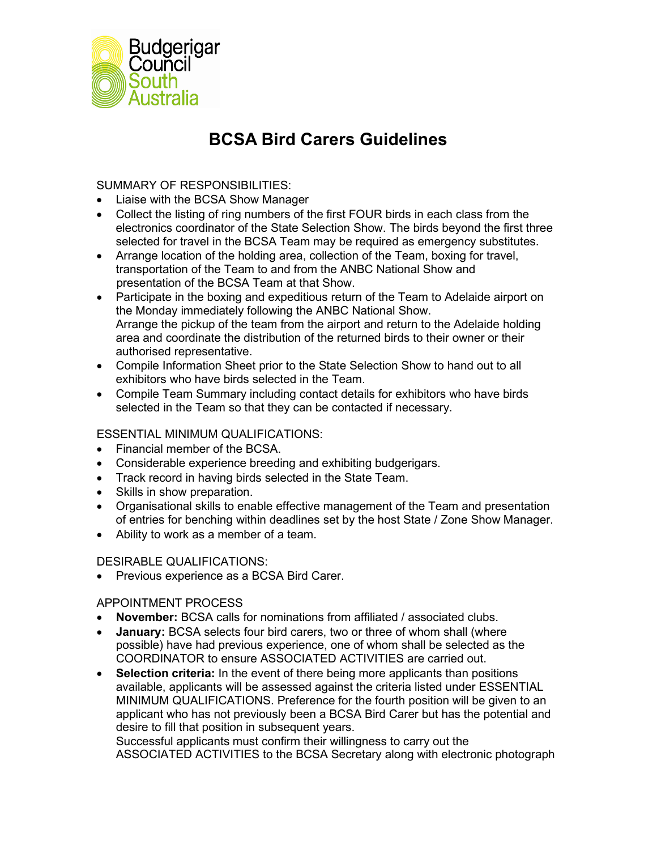

# **BCSA Bird Carers Guidelines**

SUMMARY OF RESPONSIBILITIES:

- Liaise with the BCSA Show Manager
- Collect the listing of ring numbers of the first FOUR birds in each class from the electronics coordinator of the State Selection Show. The birds beyond the first three selected for travel in the BCSA Team may be required as emergency substitutes.
- Arrange location of the holding area, collection of the Team, boxing for travel, transportation of the Team to and from the ANBC National Show and presentation of the BCSA Team at that Show.
- Participate in the boxing and expeditious return of the Team to Adelaide airport on the Monday immediately following the ANBC National Show. Arrange the pickup of the team from the airport and return to the Adelaide holding area and coordinate the distribution of the returned birds to their owner or their authorised representative.
- Compile Information Sheet prior to the State Selection Show to hand out to all exhibitors who have birds selected in the Team.
- Compile Team Summary including contact details for exhibitors who have birds selected in the Team so that they can be contacted if necessary.

## ESSENTIAL MINIMUM QUALIFICATIONS:

- Financial member of the BCSA.
- Considerable experience breeding and exhibiting budgerigars.
- Track record in having birds selected in the State Team.
- Skills in show preparation.
- Organisational skills to enable effective management of the Team and presentation of entries for benching within deadlines set by the host State / Zone Show Manager.
- Ability to work as a member of a team.

# DESIRABLE QUALIFICATIONS:

• Previous experience as a BCSA Bird Carer.

APPOINTMENT PROCESS

- **November:** BCSA calls for nominations from affiliated / associated clubs.
- **January:** BCSA selects four bird carers, two or three of whom shall (where possible) have had previous experience, one of whom shall be selected as the COORDINATOR to ensure ASSOCIATED ACTIVITIES are carried out.
- **Selection criteria:** In the event of there being more applicants than positions available, applicants will be assessed against the criteria listed under ESSENTIAL MINIMUM QUALIFICATIONS. Preference for the fourth position will be given to an applicant who has not previously been a BCSA Bird Carer but has the potential and desire to fill that position in subsequent years.

Successful applicants must confirm their willingness to carry out the ASSOCIATED ACTIVITIES to the BCSA Secretary along with electronic photograph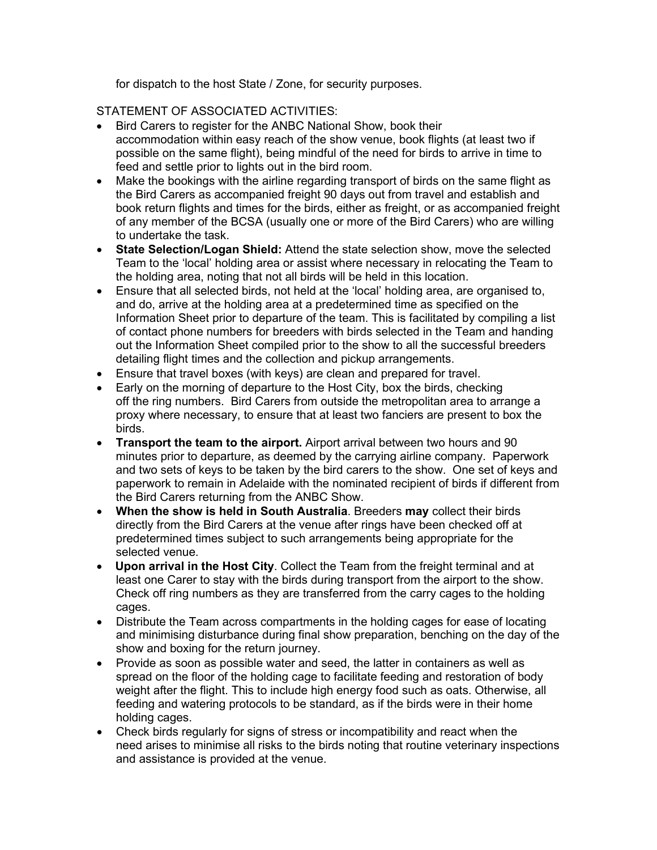for dispatch to the host State / Zone, for security purposes.

#### STATEMENT OF ASSOCIATED ACTIVITIES:

- Bird Carers to register for the ANBC National Show, book their accommodation within easy reach of the show venue, book flights (at least two if possible on the same flight), being mindful of the need for birds to arrive in time to feed and settle prior to lights out in the bird room.
- Make the bookings with the airline regarding transport of birds on the same flight as the Bird Carers as accompanied freight 90 days out from travel and establish and book return flights and times for the birds, either as freight, or as accompanied freight of any member of the BCSA (usually one or more of the Bird Carers) who are willing to undertake the task.
- **State Selection/Logan Shield:** Attend the state selection show, move the selected Team to the 'local' holding area or assist where necessary in relocating the Team to the holding area, noting that not all birds will be held in this location.
- Ensure that all selected birds, not held at the 'local' holding area, are organised to, and do, arrive at the holding area at a predetermined time as specified on the Information Sheet prior to departure of the team. This is facilitated by compiling a list of contact phone numbers for breeders with birds selected in the Team and handing out the Information Sheet compiled prior to the show to all the successful breeders detailing flight times and the collection and pickup arrangements.
- Ensure that travel boxes (with keys) are clean and prepared for travel.
- Early on the morning of departure to the Host City, box the birds, checking off the ring numbers. Bird Carers from outside the metropolitan area to arrange a proxy where necessary, to ensure that at least two fanciers are present to box the birds.
- **Transport the team to the airport.** Airport arrival between two hours and 90 minutes prior to departure, as deemed by the carrying airline company. Paperwork and two sets of keys to be taken by the bird carers to the show. One set of keys and paperwork to remain in Adelaide with the nominated recipient of birds if different from the Bird Carers returning from the ANBC Show.
- **When the show is held in South Australia**. Breeders **may** collect their birds directly from the Bird Carers at the venue after rings have been checked off at predetermined times subject to such arrangements being appropriate for the selected venue.
- **Upon arrival in the Host City**. Collect the Team from the freight terminal and at least one Carer to stay with the birds during transport from the airport to the show. Check off ring numbers as they are transferred from the carry cages to the holding cages.
- Distribute the Team across compartments in the holding cages for ease of locating and minimising disturbance during final show preparation, benching on the day of the show and boxing for the return journey.
- Provide as soon as possible water and seed, the latter in containers as well as spread on the floor of the holding cage to facilitate feeding and restoration of body weight after the flight. This to include high energy food such as oats. Otherwise, all feeding and watering protocols to be standard, as if the birds were in their home holding cages.
- Check birds regularly for signs of stress or incompatibility and react when the need arises to minimise all risks to the birds noting that routine veterinary inspections and assistance is provided at the venue.